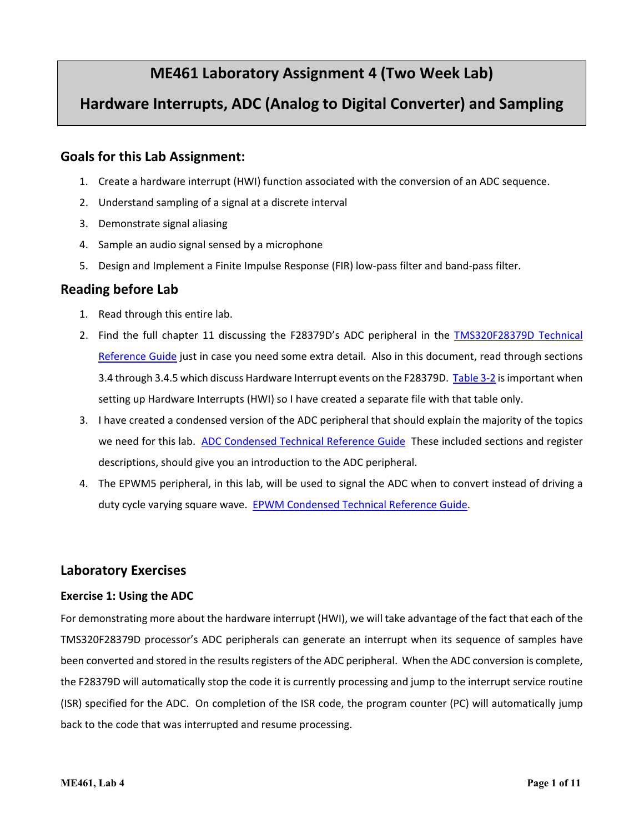# **ME461 Laboratory Assignment 4 (Two Week Lab)**

# **Hardware Interrupts, ADC (Analog to Digital Converter) and Sampling**

# **Goals for this Lab Assignment:**

- 1. Create a hardware interrupt (HWI) function associated with the conversion of an ADC sequence.
- 2. Understand sampling of a signal at a discrete interval
- 3. Demonstrate signal aliasing
- 4. Sample an audio signal sensed by a microphone
- 5. Design and Implement a Finite Impulse Response (FIR) low-pass filter and band-pass filter.

## **Reading before Lab**

- 1. Read through this entire lab.
- 2. Find the full chapter 11 discussing the F28379D's ADC peripheral in the **[TMS320F28379D](http://coecsl.ece.illinois.edu/se423/Labs/tms320f28379D_TechRefi.pdf)** Technical [Reference Guide](http://coecsl.ece.illinois.edu/se423/Labs/tms320f28379D_TechRefi.pdf) just in case you need some extra detail. Also in this document, read through sections 3.4 through 3.4.5 which discuss Hardware Interrupt events on the F28379D. [Table 3-2](http://coecsl.ece.illinois.edu/se423/Labs/PeripheralInterruptChannelMapTable.pdf) is important when setting up Hardware Interrupts (HWI) so I have created a separate file with that table only.
- 3. I have created a condensed version of the ADC peripheral that should explain the majority of the topics we need for this lab. [ADC Condensed Technical Reference Guide](http://coecsl.ece.illinois.edu/se423/Labs/ADC_Peripheral.pdf) These included sections and register descriptions, should give you an introduction to the ADC peripheral.
- 4. The EPWM5 peripheral, in this lab, will be used to signal the ADC when to convert instead of driving a duty cycle varying square wave. [EPWM Condensed Technical Reference Guide.](http://coecsl.ece.illinois.edu/se423/Labs/EPWM_Peripheral.pdf)

# **Laboratory Exercises**

#### **Exercise 1: Using the ADC**

For demonstrating more about the hardware interrupt (HWI), we will take advantage of the fact that each of the TMS320F28379D processor's ADC peripherals can generate an interrupt when its sequence of samples have been converted and stored in the results registers of the ADC peripheral. When the ADC conversion is complete, the F28379D will automatically stop the code it is currently processing and jump to the interrupt service routine (ISR) specified for the ADC. On completion of the ISR code, the program counter (PC) will automatically jump back to the code that was interrupted and resume processing.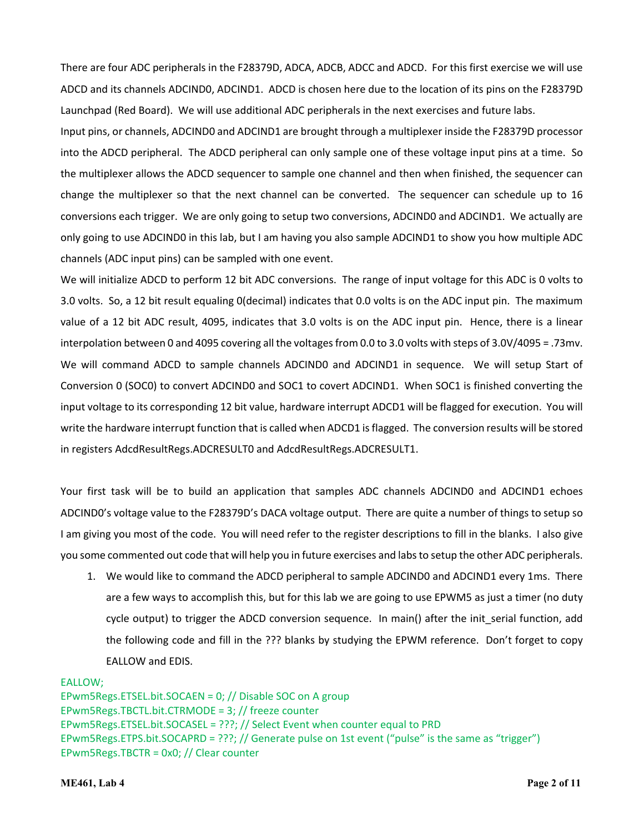There are four ADC peripherals in the F28379D, ADCA, ADCB, ADCC and ADCD. For this first exercise we will use ADCD and its channels ADCIND0, ADCIND1. ADCD is chosen here due to the location of its pins on the F28379D Launchpad (Red Board). We will use additional ADC peripherals in the next exercises and future labs.

Input pins, or channels, ADCIND0 and ADCIND1 are brought through a multiplexer inside the F28379D processor into the ADCD peripheral. The ADCD peripheral can only sample one of these voltage input pins at a time. So the multiplexer allows the ADCD sequencer to sample one channel and then when finished, the sequencer can change the multiplexer so that the next channel can be converted. The sequencer can schedule up to 16 conversions each trigger. We are only going to setup two conversions, ADCIND0 and ADCIND1. We actually are only going to use ADCIND0 in this lab, but I am having you also sample ADCIND1 to show you how multiple ADC channels (ADC input pins) can be sampled with one event.

We will initialize ADCD to perform 12 bit ADC conversions. The range of input voltage for this ADC is 0 volts to 3.0 volts. So, a 12 bit result equaling 0(decimal) indicates that 0.0 volts is on the ADC input pin. The maximum value of a 12 bit ADC result, 4095, indicates that 3.0 volts is on the ADC input pin. Hence, there is a linear interpolation between 0 and 4095 covering all the voltages from 0.0 to 3.0 volts with steps of  $3.0V/4095 = .73$ mv. We will command ADCD to sample channels ADCIND0 and ADCIND1 in sequence. We will setup Start of Conversion 0 (SOC0) to convert ADCIND0 and SOC1 to covert ADCIND1. When SOC1 is finished converting the input voltage to its corresponding 12 bit value, hardware interrupt ADCD1 will be flagged for execution. You will write the hardware interrupt function that is called when ADCD1 is flagged. The conversion results will be stored in registers AdcdResultRegs.ADCRESULT0 and AdcdResultRegs.ADCRESULT1.

Your first task will be to build an application that samples ADC channels ADCIND0 and ADCIND1 echoes ADCIND0's voltage value to the F28379D's DACA voltage output. There are quite a number of things to setup so I am giving you most of the code. You will need refer to the register descriptions to fill in the blanks. I also give you some commented out code that will help you in future exercises and labs to setup the other ADC peripherals.

1. We would like to command the ADCD peripheral to sample ADCIND0 and ADCIND1 every 1ms. There are a few ways to accomplish this, but for this lab we are going to use EPWM5 as just a timer (no duty cycle output) to trigger the ADCD conversion sequence. In main() after the init\_serial function, add the following code and fill in the ??? blanks by studying the EPWM reference. Don't forget to copy EALLOW and EDIS.

EALLOW; EPwm5Regs.ETSEL.bit.SOCAEN = 0; // Disable SOC on A group EPwm5Regs.TBCTL.bit.CTRMODE = 3; // freeze counter EPwm5Regs.ETSEL.bit.SOCASEL = ???; // Select Event when counter equal to PRD EPwm5Regs.ETPS.bit.SOCAPRD = ???; // Generate pulse on 1st event ("pulse" is the same as "trigger") EPwm5Regs.TBCTR = 0x0; // Clear counter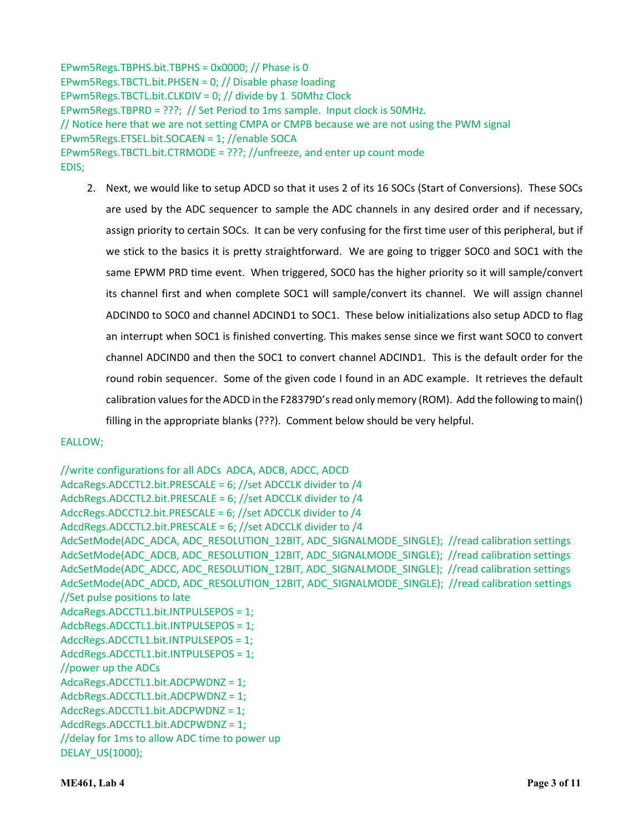EPwm5Regs.TBPHS.bit.TBPHS = 0x0000; // Phase is 0 EPwm5Regs.TBCTL.bit.PHSEN = 0; // Disable phase loading EPwm5Regs.TBCTL.bit.CLKDIV = 0; // divide by 1 50Mhz Clock EPwm5Regs.TBPRD = ???; // Set Period to 1ms sample. Input clock is 50MHz. // Notice here that we are not setting CMPA or CMPB because we are not using the PWM signal EPwm5Regs.ETSEL.bit.SOCAEN = 1; //enable SOCA EPwm5Regs.TBCTL.bit.CTRMODE = ???; //unfreeze, and enter up count mode EDIS;

2. Next, we would like to setup ADCD so that it uses 2 of its 16 SOCs (Start of Conversions). These SOCs are used by the ADC sequencer to sample the ADC channels in any desired order and if necessary, assign priority to certain SOCs. It can be very confusing for the first time user of this peripheral, but if we stick to the basics it is pretty straightforward. We are going to trigger SOC0 and SOC1 with the same EPWM PRD time event. When triggered, SOC0 has the higher priority so it will sample/convert its channel first and when complete SOC1 will sample/convert its channel. We will assign channel ADCIND0 to SOC0 and channel ADCIND1 to SOC1. These below initializations also setup ADCD to flag an interrupt when SOC1 is finished converting. This makes sense since we first want SOC0 to convert channel ADCIND0 and then the SOC1 to convert channel ADCIND1. This is the default order for the round robin sequencer. Some of the given code I found in an ADC example. It retrieves the default calibration values for the ADCD in the F28379D's read only memory (ROM). Add the following to main() filling in the appropriate blanks (???). Comment below should be very helpful.

#### EALLOW;

//write configurations for all ADCs ADCA, ADCB, ADCC, ADCD AdcaRegs.ADCCTL2.bit.PRESCALE = 6; //set ADCCLK divider to /4 AdcbRegs.ADCCTL2.bit.PRESCALE = 6; //set ADCCLK divider to /4 AdccRegs.ADCCTL2.bit.PRESCALE = 6; //set ADCCLK divider to /4 AdcdRegs.ADCCTL2.bit.PRESCALE = 6; //set ADCCLK divider to /4 AdcSetMode(ADC\_ADCA, ADC\_RESOLUTION\_12BIT, ADC\_SIGNALMODE\_SINGLE); //read calibration settings AdcSetMode(ADC\_ADCB, ADC\_RESOLUTION\_12BIT, ADC\_SIGNALMODE\_SINGLE); //read calibration settings AdcSetMode(ADC\_ADCC, ADC\_RESOLUTION\_12BIT, ADC\_SIGNALMODE\_SINGLE); //read calibration settings AdcSetMode(ADC\_ADCD, ADC\_RESOLUTION\_12BIT, ADC\_SIGNALMODE\_SINGLE); //read calibration settings //Set pulse positions to late AdcaRegs.ADCCTL1.bit.INTPULSEPOS = 1; AdcbRegs.ADCCTL1.bit.INTPULSEPOS = 1; AdccRegs.ADCCTL1.bit.INTPULSEPOS = 1; AdcdRegs.ADCCTL1.bit.INTPULSEPOS = 1; //power up the ADCs AdcaRegs.ADCCTL1.bit.ADCPWDNZ = 1; AdcbRegs.ADCCTL1.bit.ADCPWDNZ = 1; AdccRegs.ADCCTL1.bit.ADCPWDNZ = 1; AdcdRegs.ADCCTL1.bit.ADCPWDNZ = 1; //delay for 1ms to allow ADC time to power up DELAY\_US(1000);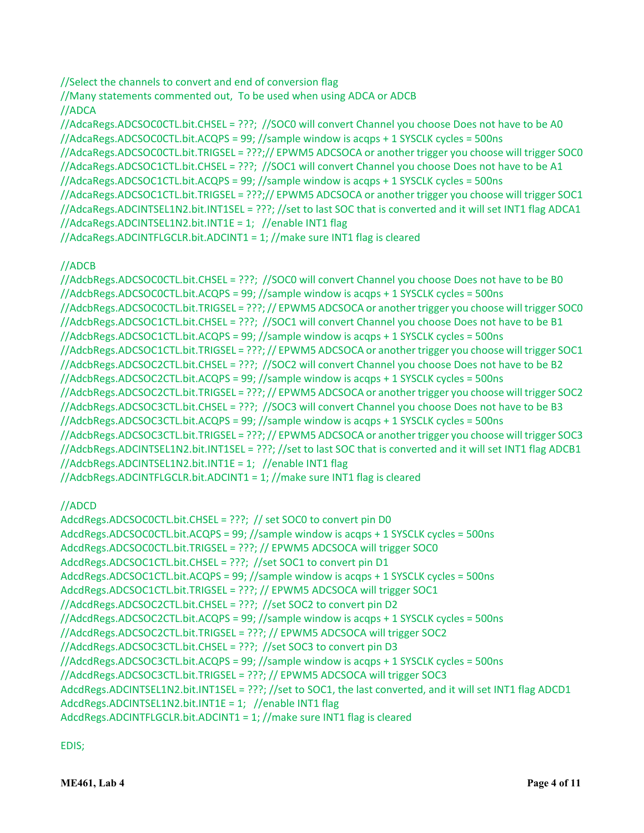//Select the channels to convert and end of conversion flag

//Many statements commented out, To be used when using ADCA or ADCB //ADCA

//AdcaRegs.ADCSOC0CTL.bit.CHSEL = ???; //SOC0 will convert Channel you choose Does not have to be A0 //AdcaRegs.ADCSOC0CTL.bit.ACQPS = 99; //sample window is acqps + 1 SYSCLK cycles = 500ns //AdcaRegs.ADCSOC0CTL.bit.TRIGSEL = ???;// EPWM5 ADCSOCA or another trigger you choose will trigger SOC0 //AdcaRegs.ADCSOC1CTL.bit.CHSEL = ???; //SOC1 will convert Channel you choose Does not have to be A1 //AdcaRegs.ADCSOC1CTL.bit.ACQPS = 99; //sample window is acqps + 1 SYSCLK cycles = 500ns //AdcaRegs.ADCSOC1CTL.bit.TRIGSEL = ???;// EPWM5 ADCSOCA or another trigger you choose will trigger SOC1 //AdcaRegs.ADCINTSEL1N2.bit.INT1SEL = ???; //set to last SOC that is converted and it will set INT1 flag ADCA1 //AdcaRegs.ADCINTSEL1N2.bit.INT1E = 1; //enable INT1 flag //AdcaRegs.ADCINTFLGCLR.bit.ADCINT1 = 1; //make sure INT1 flag is cleared

# //ADCB

//AdcbRegs.ADCSOC0CTL.bit.CHSEL = ???; //SOC0 will convert Channel you choose Does not have to be B0 //AdcbRegs.ADCSOC0CTL.bit.ACQPS = 99; //sample window is acqps + 1 SYSCLK cycles = 500ns //AdcbRegs.ADCSOC0CTL.bit.TRIGSEL = ???;// EPWM5 ADCSOCA or another trigger you choose will trigger SOC0 //AdcbRegs.ADCSOC1CTL.bit.CHSEL = ???; //SOC1 will convert Channel you choose Does not have to be B1 //AdcbRegs.ADCSOC1CTL.bit.ACQPS = 99; //sample window is acqps + 1 SYSCLK cycles = 500ns //AdcbRegs.ADCSOC1CTL.bit.TRIGSEL = ???;// EPWM5 ADCSOCA or another trigger you choose will trigger SOC1 //AdcbRegs.ADCSOC2CTL.bit.CHSEL = ???; //SOC2 will convert Channel you choose Does not have to be B2 //AdcbRegs.ADCSOC2CTL.bit.ACQPS = 99; //sample window is acqps + 1 SYSCLK cycles = 500ns //AdcbRegs.ADCSOC2CTL.bit.TRIGSEL = ???;// EPWM5 ADCSOCA or another trigger you choose will trigger SOC2 //AdcbRegs.ADCSOC3CTL.bit.CHSEL = ???; //SOC3 will convert Channel you choose Does not have to be B3 //AdcbRegs.ADCSOC3CTL.bit.ACQPS = 99; //sample window is acqps + 1 SYSCLK cycles = 500ns //AdcbRegs.ADCSOC3CTL.bit.TRIGSEL = ???;// EPWM5 ADCSOCA or another trigger you choose will trigger SOC3 //AdcbRegs.ADCINTSEL1N2.bit.INT1SEL = ???; //set to last SOC that is converted and it will set INT1 flag ADCB1 //AdcbRegs.ADCINTSEL1N2.bit.INT1E = 1; //enable INT1 flag //AdcbRegs.ADCINTFLGCLR.bit.ADCINT1 = 1; //make sure INT1 flag is cleared

# //ADCD

AdcdRegs.ADCSOC0CTL.bit.CHSEL = ???; // set SOC0 to convert pin D0 AdcdRegs.ADCSOC0CTL.bit.ACQPS = 99; //sample window is acqps + 1 SYSCLK cycles = 500ns AdcdRegs.ADCSOC0CTL.bit.TRIGSEL = ???; // EPWM5 ADCSOCA will trigger SOC0 AdcdRegs.ADCSOC1CTL.bit.CHSEL = ???; //set SOC1 to convert pin D1 AdcdRegs.ADCSOC1CTL.bit.ACQPS = 99; //sample window is acqps + 1 SYSCLK cycles = 500ns AdcdRegs.ADCSOC1CTL.bit.TRIGSEL = ???; // EPWM5 ADCSOCA will trigger SOC1 //AdcdRegs.ADCSOC2CTL.bit.CHSEL = ???; //set SOC2 to convert pin D2 //AdcdRegs.ADCSOC2CTL.bit.ACQPS = 99; //sample window is acqps + 1 SYSCLK cycles = 500ns //AdcdRegs.ADCSOC2CTL.bit.TRIGSEL = ???; // EPWM5 ADCSOCA will trigger SOC2 //AdcdRegs.ADCSOC3CTL.bit.CHSEL = ???; //set SOC3 to convert pin D3 //AdcdRegs.ADCSOC3CTL.bit.ACQPS = 99; //sample window is acqps + 1 SYSCLK cycles = 500ns //AdcdRegs.ADCSOC3CTL.bit.TRIGSEL = ???; // EPWM5 ADCSOCA will trigger SOC3 AdcdRegs.ADCINTSEL1N2.bit.INT1SEL = ???; //set to SOC1, the last converted, and it will set INT1 flag ADCD1 AdcdRegs.ADCINTSEL1N2.bit.INT1E = 1; //enable INT1 flag AdcdRegs.ADCINTFLGCLR.bit.ADCINT1 = 1; //make sure INT1 flag is cleared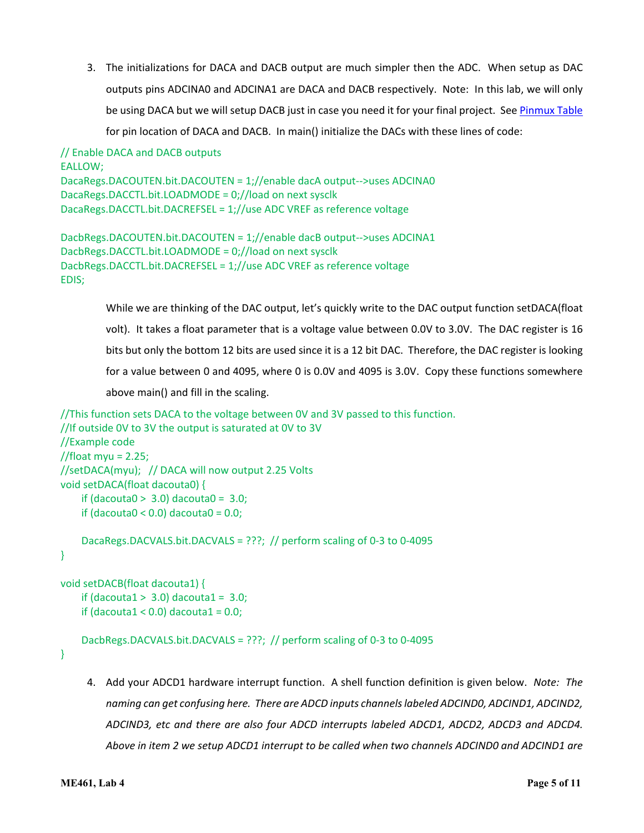3. The initializations for DACA and DACB output are much simpler then the ADC. When setup as DAC outputs pins ADCINA0 and ADCINA1 are DACA and DACB respectively. Note: In this lab, we will only be using DACA but we will setup DACB just in case you need it for your final project. See [Pinmux Table](http://coecsl.ece.illinois.edu/se423/Labs/PinMuxTableF28379DLaunchPad.pdf) for pin location of DACA and DACB. In main() initialize the DACs with these lines of code:

```
// Enable DACA and DACB outputs
EALLOW;
DacaRegs.DACOUTEN.bit.DACOUTEN = 1;//enable dacA output-->uses ADCINA0
DacaRegs.DACCTL.bit.LOADMODE = 0;//load on next sysclk
DacaRegs.DACCTL.bit.DACREFSEL = 1;//use ADC VREF as reference voltage
```

```
DacbRegs.DACOUTEN.bit.DACOUTEN = 1;//enable dacB output-->uses ADCINA1
DacbRegs.DACCTL.bit.LOADMODE = 0;//load on next sysclk
DacbRegs.DACCTL.bit.DACREFSEL = 1;//use ADC VREF as reference voltage
EDIS;
```
While we are thinking of the DAC output, let's quickly write to the DAC output function setDACA(float volt). It takes a float parameter that is a voltage value between 0.0V to 3.0V. The DAC register is 16 bits but only the bottom 12 bits are used since it is a 12 bit DAC. Therefore, the DAC register is looking for a value between 0 and 4095, where 0 is 0.0V and 4095 is 3.0V. Copy these functions somewhere above main() and fill in the scaling.

```
//This function sets DACA to the voltage between 0V and 3V passed to this function.
//If outside 0V to 3V the output is saturated at 0V to 3V 
//Example code
//float myu = 2.25;
//setDACA(myu); // DACA will now output 2.25 Volts
void setDACA(float dacouta0) {
    if (dacouta0 > 3.0) dacouta0 = 3.0;
    if (dacouta0 < 0.0) dacouta0 = 0.0;
     DacaRegs.DACVALS.bit.DACVALS = ???; // perform scaling of 0-3 to 0-4095
}
```

```
void setDACB(float dacouta1) {
    if (dacouta1 > 3.0) dacouta1 = 3.0;
    if (dacouta1 < 0.0) dacouta1 = 0.0;
```

```
 DacbRegs.DACVALS.bit.DACVALS = ???; // perform scaling of 0-3 to 0-4095
```
}

4. Add your ADCD1 hardware interrupt function. A shell function definition is given below. *Note: The naming can get confusing here. There are ADCD inputs channels labeled ADCIND0, ADCIND1, ADCIND2, ADCIND3, etc and there are also four ADCD interrupts labeled ADCD1, ADCD2, ADCD3 and ADCD4. Above in item 2 we setup ADCD1 interrupt to be called when two channels ADCIND0 and ADCIND1 are*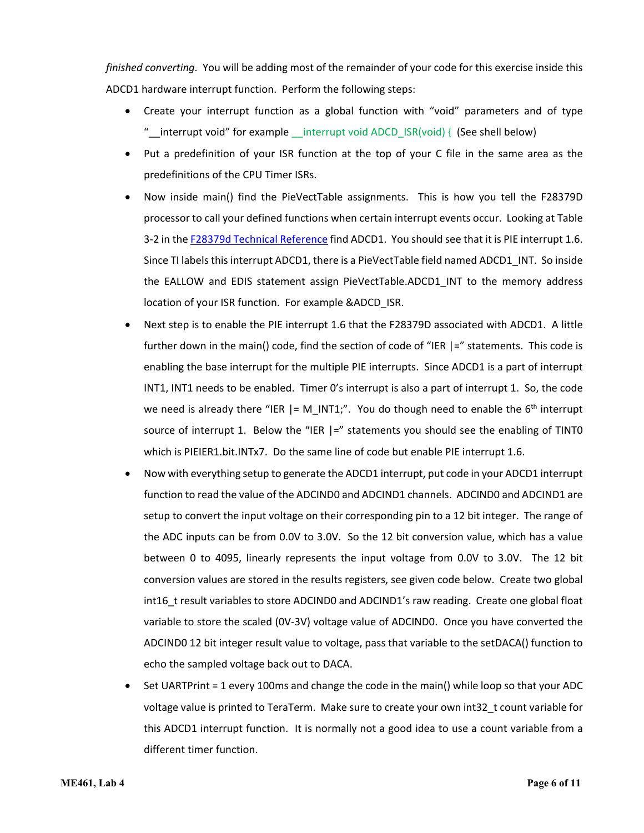*finished converting.* You will be adding most of the remainder of your code for this exercise inside this ADCD1 hardware interrupt function. Perform the following steps:

- Create your interrupt function as a global function with "void" parameters and of type "\_\_interrupt void" for example \_\_interrupt void ADCD\_ISR(void) { (See shell below)
- Put a predefinition of your ISR function at the top of your C file in the same area as the predefinitions of the CPU Timer ISRs.
- Now inside main() find the PieVectTable assignments. This is how you tell the F28379D processor to call your defined functions when certain interrupt events occur. Looking at Table 3-2 in the [F28379d Technical Reference](http://coecsl.ece.illinois.edu/se423/labs/PeripheralInterruptChannelMapTable.pdf) find ADCD1. You should see that it is PIE interrupt 1.6. Since TI labels this interrupt ADCD1, there is a PieVectTable field named ADCD1\_INT. So inside the EALLOW and EDIS statement assign PieVectTable.ADCD1\_INT to the memory address location of your ISR function. For example &ADCD\_ISR.
- Next step is to enable the PIE interrupt 1.6 that the F28379D associated with ADCD1. A little further down in the main() code, find the section of code of "IER |=" statements. This code is enabling the base interrupt for the multiple PIE interrupts. Since ADCD1 is a part of interrupt INT1, INT1 needs to be enabled. Timer 0's interrupt is also a part of interrupt 1. So, the code we need is already there "IER  $| = M_NNT1;$ ". You do though need to enable the 6<sup>th</sup> interrupt source of interrupt 1. Below the "IER  $\vert z \vert$ " statements you should see the enabling of TINTO which is PIEIER1.bit.INTx7. Do the same line of code but enable PIE interrupt 1.6.
- Now with everything setup to generate the ADCD1 interrupt, put code in your ADCD1 interrupt function to read the value of the ADCIND0 and ADCIND1 channels. ADCIND0 and ADCIND1 are setup to convert the input voltage on their corresponding pin to a 12 bit integer. The range of the ADC inputs can be from 0.0V to 3.0V. So the 12 bit conversion value, which has a value between 0 to 4095, linearly represents the input voltage from 0.0V to 3.0V. The 12 bit conversion values are stored in the results registers, see given code below. Create two global int16\_t result variables to store ADCIND0 and ADCIND1's raw reading. Create one global float variable to store the scaled (0V-3V) voltage value of ADCIND0. Once you have converted the ADCIND0 12 bit integer result value to voltage, pass that variable to the setDACA() function to echo the sampled voltage back out to DACA.
- Set UARTPrint = 1 every 100ms and change the code in the main() while loop so that your ADC voltage value is printed to TeraTerm. Make sure to create your own int32\_t count variable for this ADCD1 interrupt function. It is normally not a good idea to use a count variable from a different timer function.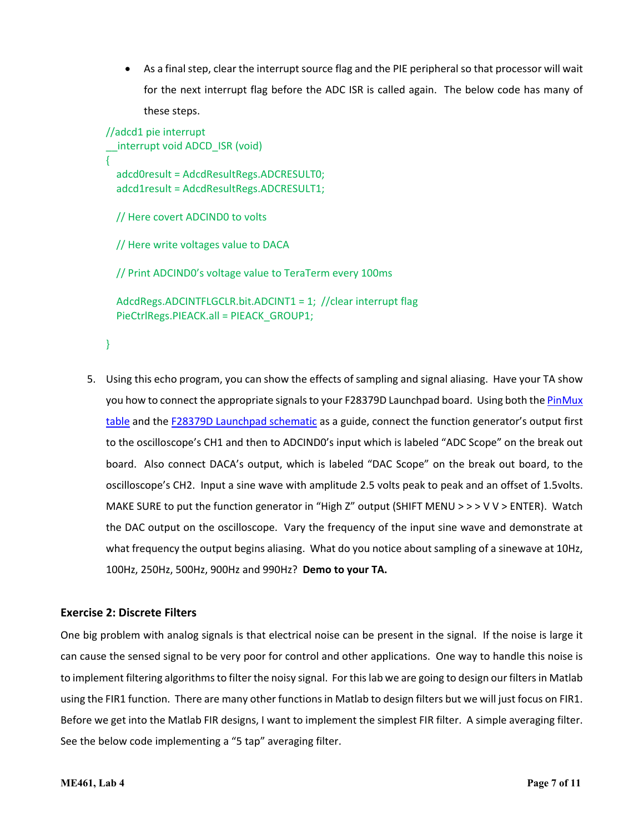• As a final step, clear the interrupt source flag and the PIE peripheral so that processor will wait for the next interrupt flag before the ADC ISR is called again. The below code has many of these steps.

```
//adcd1 pie interrupt
  interrupt void ADCD ISR (void)
{
   adcd0result = AdcdResultRegs.ADCRESULT0;
   adcd1result = AdcdResultRegs.ADCRESULT1;
   // Here covert ADCIND0 to volts
  // Here write voltages value to DACA
   // Print ADCIND0's voltage value to TeraTerm every 100ms
   AdcdRegs.ADCINTFLGCLR.bit.ADCINT1 = 1; //clear interrupt flag
   PieCtrlRegs.PIEACK.all = PIEACK_GROUP1;
```

```
}
```
5. Using this echo program, you can show the effects of sampling and signal aliasing. Have your TA show you how to connect the appropriate signals to your F28379D Launchpad board. Using both th[e PinMux](http://coecsl.ece.illinois.edu/se423/labs/PinMuxTableF28379DLaunchPad.pdf)  [table](http://coecsl.ece.illinois.edu/se423/labs/PinMuxTableF28379DLaunchPad.pdf) and the [F28379D Launchpad schematic](http://coecsl.ece.illinois.edu/se423/labs/LAUNCHXL-F28379D_SCH.pdf) as a guide, connect the function generator's output first to the oscilloscope's CH1 and then to ADCIND0's input which is labeled "ADC Scope" on the break out board. Also connect DACA's output, which is labeled "DAC Scope" on the break out board, to the oscilloscope's CH2. Input a sine wave with amplitude 2.5 volts peak to peak and an offset of 1.5volts. MAKE SURE to put the function generator in "High Z" output (SHIFT MENU > > > V V > ENTER). Watch the DAC output on the oscilloscope. Vary the frequency of the input sine wave and demonstrate at what frequency the output begins aliasing. What do you notice about sampling of a sinewave at 10Hz, 100Hz, 250Hz, 500Hz, 900Hz and 990Hz? **Demo to your TA.**

### **Exercise 2: Discrete Filters**

One big problem with analog signals is that electrical noise can be present in the signal. If the noise is large it can cause the sensed signal to be very poor for control and other applications. One way to handle this noise is to implement filtering algorithms to filter the noisy signal. For this lab we are going to design our filters in Matlab using the FIR1 function. There are many other functions in Matlab to design filters but we will just focus on FIR1. Before we get into the Matlab FIR designs, I want to implement the simplest FIR filter. A simple averaging filter. See the below code implementing a "5 tap" averaging filter.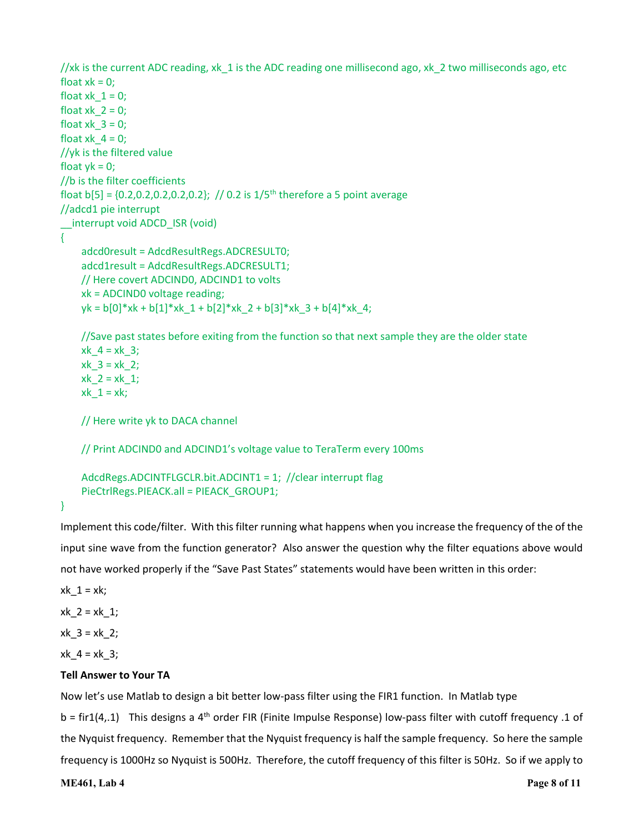```
//xk is the current ADC reading, xk_1 is the ADC reading one millisecond ago, xk_2 two milliseconds ago, etc
float x = 0;
float xk 1 = 0;
float xk 2 = 0;
float x_k 3 = 0;
float xk 4 = 0;
//yk is the filtered value
float yk = 0;//b is the filter coefficients 
float b[5] = \{0.2, 0.2, 0.2, 0.2, 0.2\}; // 0.2 is 1/5<sup>th</sup> therefore a 5 point average
//adcd1 pie interrupt
__interrupt void ADCD_ISR (void)
{
     adcd0result = AdcdResultRegs.ADCRESULT0;
     adcd1result = AdcdResultRegs.ADCRESULT1;
     // Here covert ADCIND0, ADCIND1 to volts
     xk = ADCIND0 voltage reading;
    yk = b[0]*xk + b[1]*xk 1 + b[2]*xk 2 + b[3]*xk 3 + b[4]*xk 4;
     //Save past states before exiting from the function so that next sample they are the older state
    xk_4 = xk_3;xk_3 = xk_2;x^2 = x^2 + 1;xk_1 = xk;
     // Here write yk to DACA channel
     // Print ADCIND0 and ADCIND1's voltage value to TeraTerm every 100ms
     AdcdRegs.ADCINTFLGCLR.bit.ADCINT1 = 1; //clear interrupt flag
```

```
 PieCtrlRegs.PIEACK.all = PIEACK_GROUP1;
```
}

Implement this code/filter. With this filter running what happens when you increase the frequency of the of the input sine wave from the function generator? Also answer the question why the filter equations above would not have worked properly if the "Save Past States" statements would have been written in this order:

 $xk_1 = xk;$ 

 $xk_2 = xk_1;$ 

 $xk_3 = xk_2;$ 

 $xk_4 = xk_3;$ 

### **Tell Answer to Your TA**

Now let's use Matlab to design a bit better low-pass filter using the FIR1 function. In Matlab type  $b = \text{fir1}(4, 1)$  This designs a 4<sup>th</sup> order FIR (Finite Impulse Response) low-pass filter with cutoff frequency .1 of the Nyquist frequency. Remember that the Nyquist frequency is half the sample frequency. So here the sample frequency is 1000Hz so Nyquist is 500Hz. Therefore, the cutoff frequency of this filter is 50Hz. So if we apply to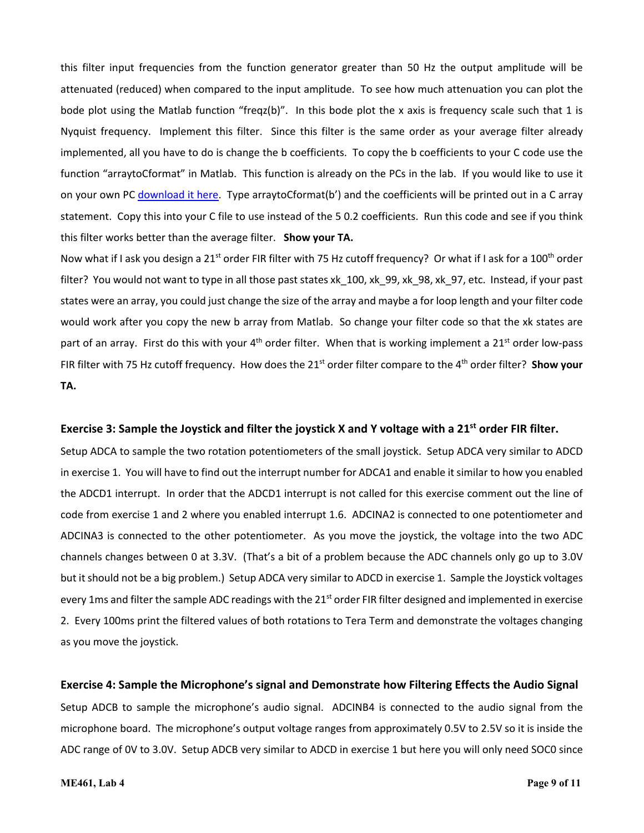this filter input frequencies from the function generator greater than 50 Hz the output amplitude will be attenuated (reduced) when compared to the input amplitude. To see how much attenuation you can plot the bode plot using the Matlab function "freqz(b)". In this bode plot the x axis is frequency scale such that 1 is Nyquist frequency. Implement this filter. Since this filter is the same order as your average filter already implemented, all you have to do is change the b coefficients. To copy the b coefficients to your C code use the function "arraytoCformat" in Matlab. This function is already on the PCs in the lab. If you would like to use it on your own PC [download it here.](http://coecsl.ece.illinois.edu/se423/labs/arraytoCformat.m) Type arraytoCformat(b') and the coefficients will be printed out in a C array statement. Copy this into your C file to use instead of the 5 0.2 coefficients. Run this code and see if you think this filter works better than the average filter. **Show your TA.**

Now what if I ask you design a 21<sup>st</sup> order FIR filter with 75 Hz cutoff frequency? Or what if I ask for a 100<sup>th</sup> order filter? You would not want to type in all those past states xk 100, xk 99, xk 98, xk 97, etc. Instead, if your past states were an array, you could just change the size of the array and maybe a for loop length and your filter code would work after you copy the new b array from Matlab. So change your filter code so that the xk states are part of an array. First do this with your  $4<sup>th</sup>$  order filter. When that is working implement a 21<sup>st</sup> order low-pass FIR filter with 75 Hz cutoff frequency. How does the 21<sup>st</sup> order filter compare to the 4<sup>th</sup> order filter? **Show your TA.** 

#### **Exercise 3: Sample the Joystick and filter the joystick X and Y voltage with a 21st order FIR filter.**

Setup ADCA to sample the two rotation potentiometers of the small joystick. Setup ADCA very similar to ADCD in exercise 1. You will have to find out the interrupt number for ADCA1 and enable it similar to how you enabled the ADCD1 interrupt. In order that the ADCD1 interrupt is not called for this exercise comment out the line of code from exercise 1 and 2 where you enabled interrupt 1.6. ADCINA2 is connected to one potentiometer and ADCINA3 is connected to the other potentiometer. As you move the joystick, the voltage into the two ADC channels changes between 0 at 3.3V. (That's a bit of a problem because the ADC channels only go up to 3.0V but it should not be a big problem.) Setup ADCA very similar to ADCD in exercise 1. Sample the Joystick voltages every 1ms and filter the sample ADC readings with the  $21<sup>st</sup>$  order FIR filter designed and implemented in exercise 2. Every 100ms print the filtered values of both rotations to Tera Term and demonstrate the voltages changing as you move the joystick.

#### **Exercise 4: Sample the Microphone's signal and Demonstrate how Filtering Effects the Audio Signal**

Setup ADCB to sample the microphone's audio signal. ADCINB4 is connected to the audio signal from the microphone board. The microphone's output voltage ranges from approximately 0.5V to 2.5V so it is inside the ADC range of 0V to 3.0V. Setup ADCB very similar to ADCD in exercise 1 but here you will only need SOC0 since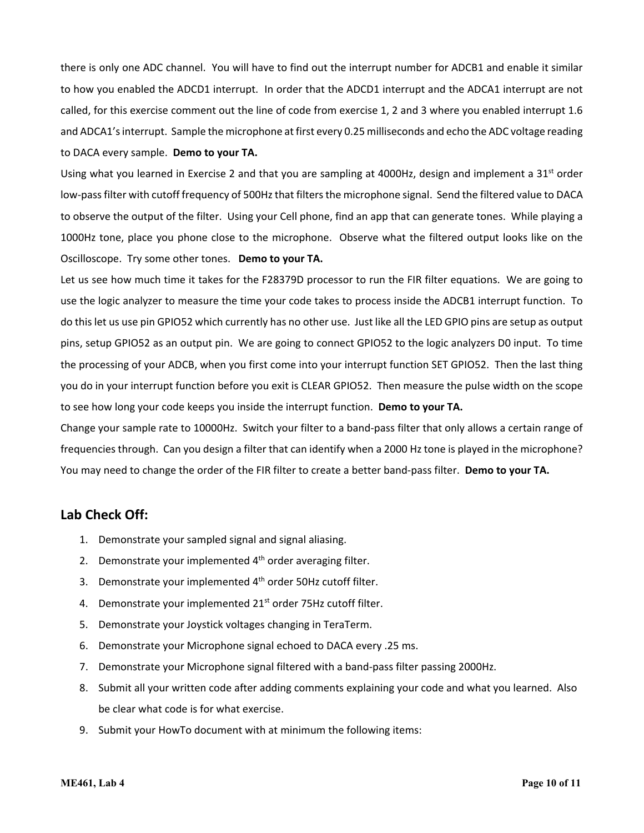there is only one ADC channel. You will have to find out the interrupt number for ADCB1 and enable it similar to how you enabled the ADCD1 interrupt. In order that the ADCD1 interrupt and the ADCA1 interrupt are not called, for this exercise comment out the line of code from exercise 1, 2 and 3 where you enabled interrupt 1.6 and ADCA1's interrupt. Sample the microphone at first every 0.25 milliseconds and echo the ADC voltage reading to DACA every sample. **Demo to your TA.** 

Using what you learned in Exercise 2 and that you are sampling at 4000Hz, design and implement a  $31^{st}$  order low-pass filter with cutoff frequency of 500Hz that filters the microphone signal. Send the filtered value to DACA to observe the output of the filter. Using your Cell phone, find an app that can generate tones. While playing a 1000Hz tone, place you phone close to the microphone. Observe what the filtered output looks like on the Oscilloscope. Try some other tones. **Demo to your TA.**

Let us see how much time it takes for the F28379D processor to run the FIR filter equations. We are going to use the logic analyzer to measure the time your code takes to process inside the ADCB1 interrupt function. To do this let us use pin GPIO52 which currently has no other use. Just like all the LED GPIO pins are setup as output pins, setup GPIO52 as an output pin. We are going to connect GPIO52 to the logic analyzers D0 input. To time the processing of your ADCB, when you first come into your interrupt function SET GPIO52. Then the last thing you do in your interrupt function before you exit is CLEAR GPIO52. Then measure the pulse width on the scope to see how long your code keeps you inside the interrupt function. **Demo to your TA.**

Change your sample rate to 10000Hz. Switch your filter to a band-pass filter that only allows a certain range of frequencies through. Can you design a filter that can identify when a 2000 Hz tone is played in the microphone? You may need to change the order of the FIR filter to create a better band-pass filter. **Demo to your TA.**

### **Lab Check Off:**

- 1. Demonstrate your sampled signal and signal aliasing.
- 2. Demonstrate your implemented  $4<sup>th</sup>$  order averaging filter.
- 3. Demonstrate your implemented  $4<sup>th</sup>$  order 50Hz cutoff filter.
- 4. Demonstrate your implemented 21<sup>st</sup> order 75Hz cutoff filter.
- 5. Demonstrate your Joystick voltages changing in TeraTerm.
- 6. Demonstrate your Microphone signal echoed to DACA every .25 ms.
- 7. Demonstrate your Microphone signal filtered with a band-pass filter passing 2000Hz.
- 8. Submit all your written code after adding comments explaining your code and what you learned. Also be clear what code is for what exercise.
- 9. Submit your HowTo document with at minimum the following items: